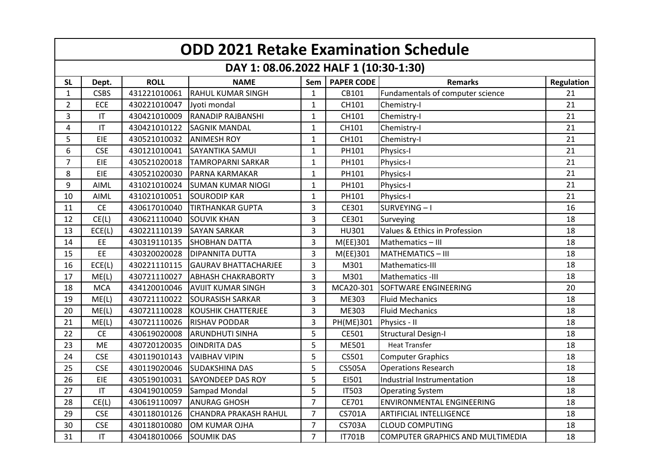| <b>ODD 2021 Retake Examination Schedule</b> |                        |              |                              |                |                   |                                         |            |  |  |
|---------------------------------------------|------------------------|--------------|------------------------------|----------------|-------------------|-----------------------------------------|------------|--|--|
| DAY 1: 08.06.2022 HALF 1 (10:30-1:30)       |                        |              |                              |                |                   |                                         |            |  |  |
| <b>SL</b>                                   | Dept.                  | <b>ROLL</b>  | <b>NAME</b>                  | Sem            | <b>PAPER CODE</b> | <b>Remarks</b>                          | Regulation |  |  |
| $\mathbf{1}$                                | <b>CSBS</b>            | 431221010061 | <b>RAHUL KUMAR SINGH</b>     | $\mathbf{1}$   | CB101             | Fundamentals of computer science        | 21         |  |  |
| $\overline{2}$                              | ECE                    | 430221010047 | Jyoti mondal                 | $\mathbf{1}$   | CH101             | Chemistry-I                             | 21         |  |  |
| $\overline{3}$                              | $\mathsf{I}\mathsf{T}$ | 430421010009 | <b>RANADIP RAJBANSHI</b>     | $\mathbf{1}$   | CH101             | Chemistry-I                             | 21         |  |  |
| 4                                           | IT                     | 430421010122 | <b>SAGNIK MANDAL</b>         | $\mathbf{1}$   | CH101             | Chemistry-I                             | 21         |  |  |
| 5                                           | EIE                    | 430521010032 | <b>ANIMESH ROY</b>           | $\mathbf{1}$   | CH101             | Chemistry-I                             | 21         |  |  |
| 6                                           | <b>CSE</b>             | 430121010041 | <b>SAYANTIKA SAMUI</b>       | $\mathbf{1}$   | PH101             | Physics-I                               | 21         |  |  |
| $\overline{7}$                              | EIE                    | 430521020018 | <b>TAMROPARNI SARKAR</b>     | $\mathbf{1}$   | PH101             | Physics-I                               | 21         |  |  |
| 8                                           | EIE                    | 430521020030 | PARNA KARMAKAR               | $\mathbf{1}$   | PH101             | Physics-I                               | 21         |  |  |
| $9\,$                                       | <b>AIML</b>            | 431021010024 | <b>SUMAN KUMAR NIOGI</b>     | $\mathbf{1}$   | PH101             | Physics-I                               | 21         |  |  |
| 10                                          | AIML                   | 431021010051 | <b>SOURODIP KAR</b>          | $\mathbf{1}$   | PH101             | Physics-I                               | 21         |  |  |
| 11                                          | <b>CE</b>              | 430617010040 | <b>TIRTHANKAR GUPTA</b>      | $\overline{3}$ | CE301             | SURVEYING-I                             | 16         |  |  |
| 12                                          | CE(L)                  | 430621110040 | <b>SOUVIK KHAN</b>           | $\overline{3}$ | CE301             | Surveying                               | 18         |  |  |
| 13                                          | ECE(L)                 | 430221110139 | <b>SAYAN SARKAR</b>          | 3              | HU301             | Values & Ethics in Profession           | 18         |  |  |
| 14                                          | EE                     | 430319110135 | <b>SHOBHAN DATTA</b>         | $\overline{3}$ | M(EE)301          | Mathematics - III                       | 18         |  |  |
| 15                                          | EE                     | 430320020028 | <b>DIPANNITA DUTTA</b>       | $\overline{3}$ | M(EE)301          | <b>MATHEMATICS - III</b>                | 18         |  |  |
| 16                                          | ECE(L)                 | 430221110115 | <b>GAURAV BHATTACHARJEE</b>  | $\overline{3}$ | M301              | Mathematics-III                         | 18         |  |  |
| 17                                          | ME(L)                  | 430721110027 | <b>ABHASH CHAKRABORTY</b>    | $\overline{3}$ | M301              | Mathematics -III                        | 18         |  |  |
| 18                                          | <b>MCA</b>             | 434120010046 | <b>AVIJIT KUMAR SINGH</b>    | 3              | MCA20-301         | SOFTWARE ENGINEERING                    | 20         |  |  |
| 19                                          | ME(L)                  | 430721110022 | <b>SOURASISH SARKAR</b>      | $\overline{3}$ | ME303             | <b>Fluid Mechanics</b>                  | 18         |  |  |
| 20                                          | ME(L)                  | 430721110028 | <b>KOUSHIK CHATTERJEE</b>    | 3              | ME303             | <b>Fluid Mechanics</b>                  | 18         |  |  |
| 21                                          | ME(L)                  | 430721110026 | <b>RISHAV PODDAR</b>         | $\overline{3}$ | PH(ME)301         | Physics - II                            | 18         |  |  |
| 22                                          | <b>CE</b>              | 430619020008 | <b>ARUNDHUTI SINHA</b>       | 5              | CE501             | <b>Structural Design-I</b>              | 18         |  |  |
| 23                                          | <b>ME</b>              | 430720120035 | <b>OINDRITA DAS</b>          | 5              | ME501             | <b>Heat Transfer</b>                    | 18         |  |  |
| 24                                          | <b>CSE</b>             | 430119010143 | <b>VAIBHAV VIPIN</b>         | 5              | CS501             | <b>Computer Graphics</b>                | 18         |  |  |
| 25                                          | <b>CSE</b>             | 430119020046 | <b>SUDAKSHINA DAS</b>        | 5              | <b>CS505A</b>     | <b>Operations Research</b>              | 18         |  |  |
| 26                                          | EIE                    | 430519010031 | <b>SAYONDEEP DAS ROY</b>     | 5              | EI501             | Industrial Instrumentation              | 18         |  |  |
| 27                                          | $\mathsf{I}\mathsf{T}$ | 430419010059 | Sampad Mondal                | 5              | <b>IT503</b>      | <b>Operating System</b>                 | 18         |  |  |
| 28                                          | CE(L)                  | 430619110097 | <b>ANURAG GHOSH</b>          | $\overline{7}$ | CE701             | <b>ENVIRONMENTAL ENGINEERING</b>        | 18         |  |  |
| 29                                          | <b>CSE</b>             | 430118010126 | <b>CHANDRA PRAKASH RAHUL</b> | $\overline{7}$ | CS701A            | ARTIFICIAL INTELLIGENCE                 | 18         |  |  |
| 30                                          | <b>CSE</b>             | 430118010080 | OM KUMAR OJHA                | $\overline{7}$ | <b>CS703A</b>     | <b>CLOUD COMPUTING</b>                  | 18         |  |  |
| 31                                          | $\mathsf{I}\mathsf{T}$ | 430418010066 | <b>SOUMIK DAS</b>            | $\overline{7}$ | <b>IT701B</b>     | <b>COMPUTER GRAPHICS AND MULTIMEDIA</b> | 18         |  |  |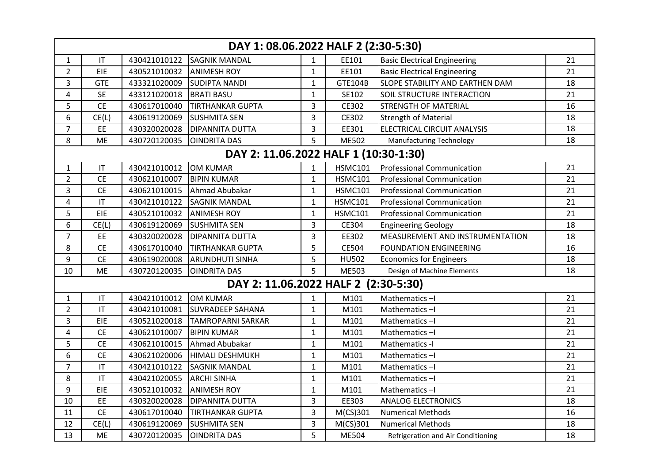| DAY 1: 08.06.2022 HALF 2 (2:30-5:30)  |                                      |              |                          |                |                |                                     |    |  |  |  |
|---------------------------------------|--------------------------------------|--------------|--------------------------|----------------|----------------|-------------------------------------|----|--|--|--|
| $\mathbf{1}$                          | $\mathsf{I}\mathsf{T}$               | 430421010122 | <b>SAGNIK MANDAL</b>     | $\mathbf{1}$   | EE101          | <b>Basic Electrical Engineering</b> | 21 |  |  |  |
| $\overline{2}$                        | EIE                                  | 430521010032 | <b>ANIMESH ROY</b>       | $\mathbf{1}$   | EE101          | <b>Basic Electrical Engineering</b> | 21 |  |  |  |
| $\overline{3}$                        | <b>GTE</b>                           | 433321020009 | <b>SUDIPTA NANDI</b>     | $\mathbf{1}$   | GTE104B        | SLOPE STABILITY AND EARTHEN DAM     | 18 |  |  |  |
| 4                                     | <b>SE</b>                            | 433121020018 | <b>BRATI BASU</b>        | $\mathbf{1}$   | SE102          | <b>SOIL STRUCTURE INTERACTION</b>   | 21 |  |  |  |
| 5                                     | <b>CE</b>                            | 430617010040 | <b>TIRTHANKAR GUPTA</b>  | $\overline{3}$ | CE302          | <b>STRENGTH OF MATERIAL</b>         | 16 |  |  |  |
| 6                                     | CE(L)                                | 430619120069 | <b>SUSHMITA SEN</b>      | $\overline{3}$ | CE302          | <b>Strength of Material</b>         | 18 |  |  |  |
| $\overline{7}$                        | EE                                   | 430320020028 | <b>DIPANNITA DUTTA</b>   | $\overline{3}$ | EE301          | ELECTRICAL CIRCUIT ANALYSIS         | 18 |  |  |  |
| 8                                     | ME                                   | 430720120035 | <b>OINDRITA DAS</b>      | 5              | ME502          | <b>Manufacturing Technology</b>     | 18 |  |  |  |
| DAY 2: 11.06.2022 HALF 1 (10:30-1:30) |                                      |              |                          |                |                |                                     |    |  |  |  |
| $\mathbf{1}$                          | $\mathsf{I}\mathsf{T}$               | 430421010012 | <b>OM KUMAR</b>          | $\mathbf{1}$   | <b>HSMC101</b> | <b>Professional Communication</b>   | 21 |  |  |  |
| $\overline{2}$                        | <b>CE</b>                            | 430621010007 | <b>BIPIN KUMAR</b>       | $\mathbf{1}$   | <b>HSMC101</b> | Professional Communication          | 21 |  |  |  |
| 3                                     | <b>CE</b>                            | 430621010015 | Ahmad Abubakar           | $\mathbf{1}$   | <b>HSMC101</b> | <b>Professional Communication</b>   | 21 |  |  |  |
| 4                                     | $\mathsf{I}\mathsf{T}$               | 430421010122 | <b>SAGNIK MANDAL</b>     | $\mathbf{1}$   | <b>HSMC101</b> | <b>Professional Communication</b>   | 21 |  |  |  |
| 5                                     | EIE                                  | 430521010032 | <b>ANIMESH ROY</b>       | $\mathbf{1}$   | <b>HSMC101</b> | <b>Professional Communication</b>   | 21 |  |  |  |
| 6                                     | CE(L)                                | 430619120069 | <b>SUSHMITA SEN</b>      | $\overline{3}$ | CE304          | <b>Engineering Geology</b>          | 18 |  |  |  |
| $\overline{7}$                        | EE                                   | 430320020028 | <b>DIPANNITA DUTTA</b>   | 3              | EE302          | MEASUREMENT AND INSTRUMENTATION     | 18 |  |  |  |
| 8                                     | CE                                   | 430617010040 | <b>TIRTHANKAR GUPTA</b>  | 5              | CE504          | <b>FOUNDATION ENGINEERING</b>       | 16 |  |  |  |
| 9                                     | <b>CE</b>                            | 430619020008 | <b>ARUNDHUTI SINHA</b>   | 5              | <b>HU502</b>   | <b>Economics for Engineers</b>      | 18 |  |  |  |
| 10                                    | <b>ME</b>                            | 430720120035 | <b>OINDRITA DAS</b>      | 5              | ME503          | Design of Machine Elements          | 18 |  |  |  |
|                                       | DAY 2: 11.06.2022 HALF 2 (2:30-5:30) |              |                          |                |                |                                     |    |  |  |  |
| $\mathbf{1}$                          | $\mathsf{I}\mathsf{T}$               | 430421010012 | <b>OM KUMAR</b>          | $\mathbf{1}$   | M101           | Mathematics-I                       | 21 |  |  |  |
| $\overline{2}$                        | $\mathsf{I}\mathsf{T}$               | 430421010081 | <b>SUVRADEEP SAHANA</b>  | $\mathbf{1}$   | M101           | Mathematics-I                       | 21 |  |  |  |
| $\overline{3}$                        | EIE                                  | 430521020018 | <b>TAMROPARNI SARKAR</b> | $\mathbf{1}$   | M101           | Mathematics-I                       | 21 |  |  |  |
| 4                                     | <b>CE</b>                            | 430621010007 | <b>BIPIN KUMAR</b>       | $\mathbf{1}$   | M101           | Mathematics-I                       | 21 |  |  |  |
| 5                                     | <b>CE</b>                            | 430621010015 | Ahmad Abubakar           | $\mathbf{1}$   | M101           | Mathematics -I                      | 21 |  |  |  |
| 6                                     | <b>CE</b>                            | 430621020006 | <b>HIMALI DESHMUKH</b>   | $\mathbf{1}$   | M101           | Mathematics-I                       | 21 |  |  |  |
| $\overline{7}$                        | $\mathsf{I}\mathsf{T}$               | 430421010122 | <b>SAGNIK MANDAL</b>     | $\mathbf{1}$   | M101           | Mathematics-I                       | 21 |  |  |  |
| 8                                     | $\mathsf{I}\mathsf{T}$               | 430421020055 | <b>ARCHI SINHA</b>       | $\mathbf{1}$   | M101           | Mathematics-I                       | 21 |  |  |  |
| 9                                     | EIE                                  | 430521010032 | <b>ANIMESH ROY</b>       | $\mathbf{1}$   | M101           | Mathematics-I                       | 21 |  |  |  |
| 10                                    | EE                                   | 430320020028 | <b>DIPANNITA DUTTA</b>   | $\overline{3}$ | EE303          | <b>ANALOG ELECTRONICS</b>           | 18 |  |  |  |
| 11                                    | <b>CE</b>                            | 430617010040 | <b>TIRTHANKAR GUPTA</b>  | 3              | $M(CS)$ 301    | <b>Numerical Methods</b>            | 16 |  |  |  |
| 12                                    | CE(L)                                | 430619120069 | <b>SUSHMITA SEN</b>      | $\mathsf 3$    | $M(CS)$ 301    | <b>Numerical Methods</b>            | 18 |  |  |  |
| 13                                    | <b>ME</b>                            | 430720120035 | <b>OINDRITA DAS</b>      | 5              | ME504          | Refrigeration and Air Conditioning  | 18 |  |  |  |